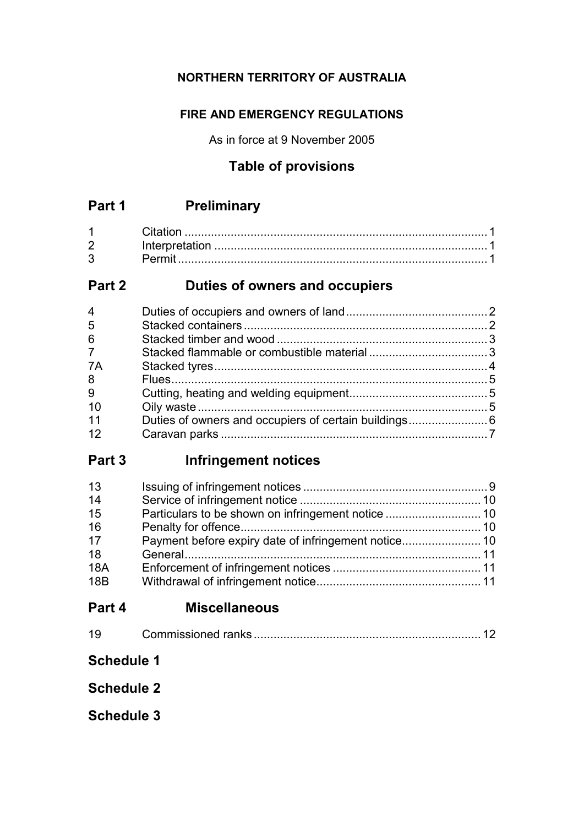## **NORTHERN TERRITORY OF AUSTRALIA**

## **FIRE AND EMERGENCY REGULATIONS**

As in force at 9 November 2005

## **Table of provisions**

| $\overline{2}$ |  |
|----------------|--|
| 3 <sup>1</sup> |  |

## **Part 2 Duties of owners and occupiers**

| 4              |  |
|----------------|--|
| 5              |  |
| 6              |  |
| $\overline{7}$ |  |
| 7A             |  |
| 8              |  |
| 9              |  |
| 10             |  |
| 11             |  |
| 12             |  |
|                |  |

## **Part 3 Infringement notices**

| 13         |  |
|------------|--|
| 14         |  |
| 15         |  |
| 16         |  |
| 17         |  |
| 18         |  |
| <b>18A</b> |  |
| <b>18B</b> |  |

## **Part 4 Miscellaneous**

## **Schedule 1**

**Schedule 2**

**Schedule 3**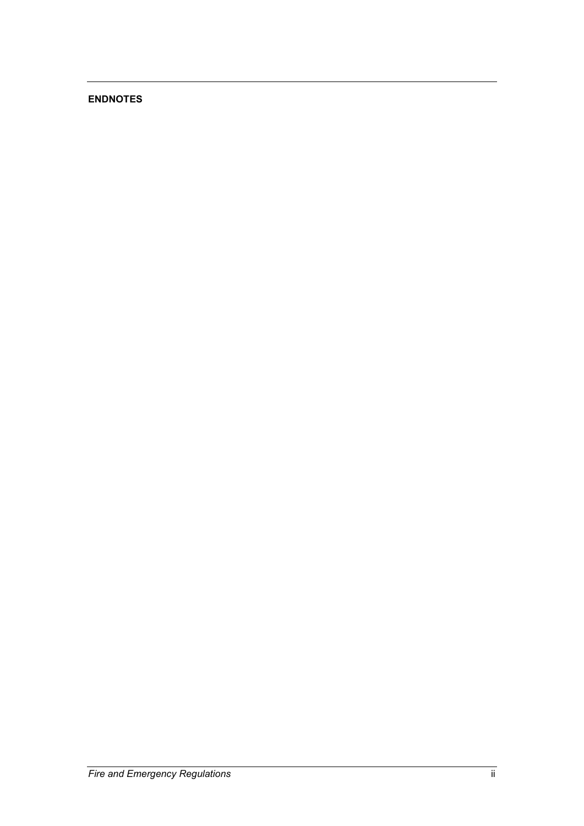### **ENDNOTES**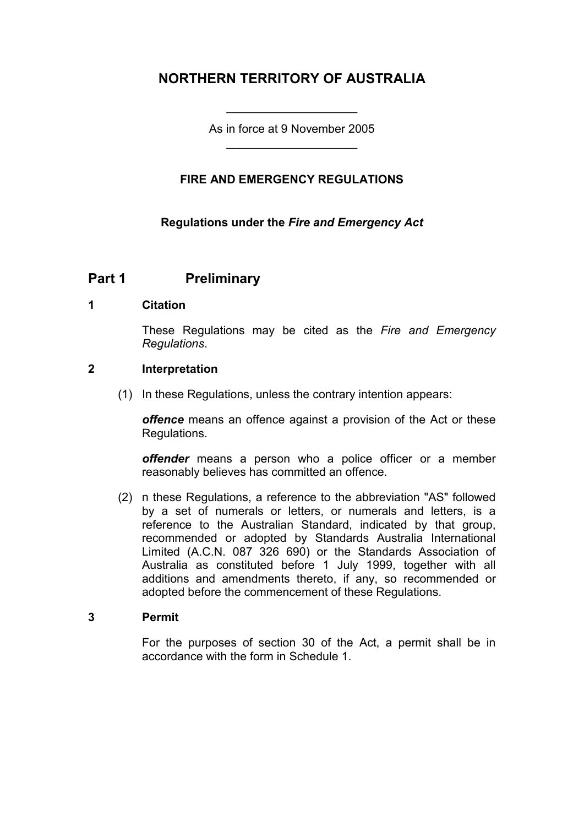## **NORTHERN TERRITORY OF AUSTRALIA**

As in force at 9 November 2005 \_\_\_\_\_\_\_\_\_\_\_\_\_\_\_\_\_\_\_\_

\_\_\_\_\_\_\_\_\_\_\_\_\_\_\_\_\_\_\_\_

### **FIRE AND EMERGENCY REGULATIONS**

### **Regulations under the** *Fire and Emergency Act*

### **Part 1 Preliminary**

#### **1 Citation**

These Regulations may be cited as the *Fire and Emergency Regulations*.

### **2 Interpretation**

(1) In these Regulations, unless the contrary intention appears:

*offence* means an offence against a provision of the Act or these Regulations.

*offender* means a person who a police officer or a member reasonably believes has committed an offence.

(2) n these Regulations, a reference to the abbreviation "AS" followed by a set of numerals or letters, or numerals and letters, is a reference to the Australian Standard, indicated by that group, recommended or adopted by Standards Australia International Limited (A.C.N. 087 326 690) or the Standards Association of Australia as constituted before 1 July 1999, together with all additions and amendments thereto, if any, so recommended or adopted before the commencement of these Regulations.

#### **3 Permit**

For the purposes of section 30 of the Act, a permit shall be in accordance with the form in Schedule 1.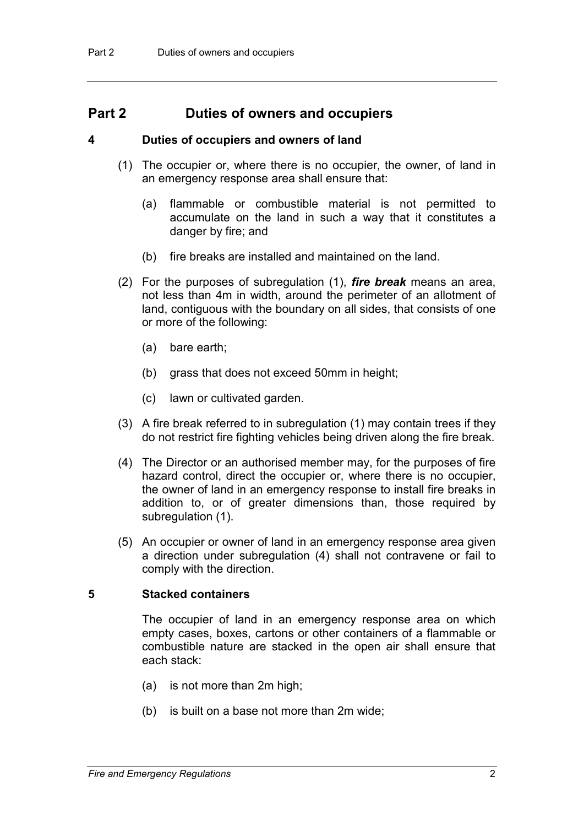### **Part 2 Duties of owners and occupiers**

#### **4 Duties of occupiers and owners of land**

- (1) The occupier or, where there is no occupier, the owner, of land in an emergency response area shall ensure that:
	- (a) flammable or combustible material is not permitted to accumulate on the land in such a way that it constitutes a danger by fire; and
	- (b) fire breaks are installed and maintained on the land.
- (2) For the purposes of subregulation (1), *fire break* means an area, not less than 4m in width, around the perimeter of an allotment of land, contiguous with the boundary on all sides, that consists of one or more of the following:
	- (a) bare earth;
	- (b) grass that does not exceed 50mm in height;
	- (c) lawn or cultivated garden.
- (3) A fire break referred to in subregulation (1) may contain trees if they do not restrict fire fighting vehicles being driven along the fire break.
- (4) The Director or an authorised member may, for the purposes of fire hazard control, direct the occupier or, where there is no occupier, the owner of land in an emergency response to install fire breaks in addition to, or of greater dimensions than, those required by subregulation (1).
- (5) An occupier or owner of land in an emergency response area given a direction under subregulation (4) shall not contravene or fail to comply with the direction.

#### **5 Stacked containers**

The occupier of land in an emergency response area on which empty cases, boxes, cartons or other containers of a flammable or combustible nature are stacked in the open air shall ensure that each stack:

- (a) is not more than 2m high;
- (b) is built on a base not more than 2m wide;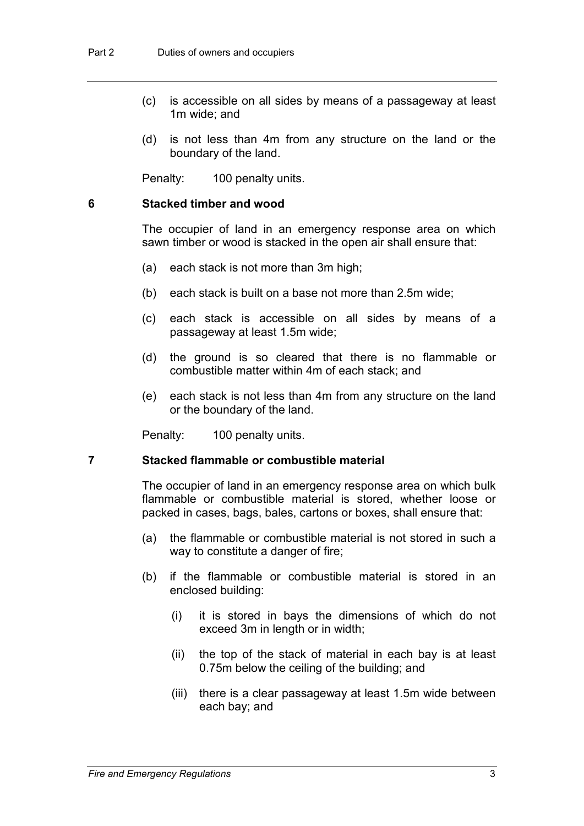- (c) is accessible on all sides by means of a passageway at least 1m wide; and
- (d) is not less than 4m from any structure on the land or the boundary of the land.

Penalty: 100 penalty units.

#### **6 Stacked timber and wood**

The occupier of land in an emergency response area on which sawn timber or wood is stacked in the open air shall ensure that:

- (a) each stack is not more than 3m high;
- (b) each stack is built on a base not more than 2.5m wide;
- (c) each stack is accessible on all sides by means of a passageway at least 1.5m wide;
- (d) the ground is so cleared that there is no flammable or combustible matter within 4m of each stack; and
- (e) each stack is not less than 4m from any structure on the land or the boundary of the land.

Penalty: 100 penalty units.

#### **7 Stacked flammable or combustible material**

The occupier of land in an emergency response area on which bulk flammable or combustible material is stored, whether loose or packed in cases, bags, bales, cartons or boxes, shall ensure that:

- (a) the flammable or combustible material is not stored in such a way to constitute a danger of fire;
- (b) if the flammable or combustible material is stored in an enclosed building:
	- (i) it is stored in bays the dimensions of which do not exceed 3m in length or in width;
	- (ii) the top of the stack of material in each bay is at least 0.75m below the ceiling of the building; and
	- (iii) there is a clear passageway at least 1.5m wide between each bay; and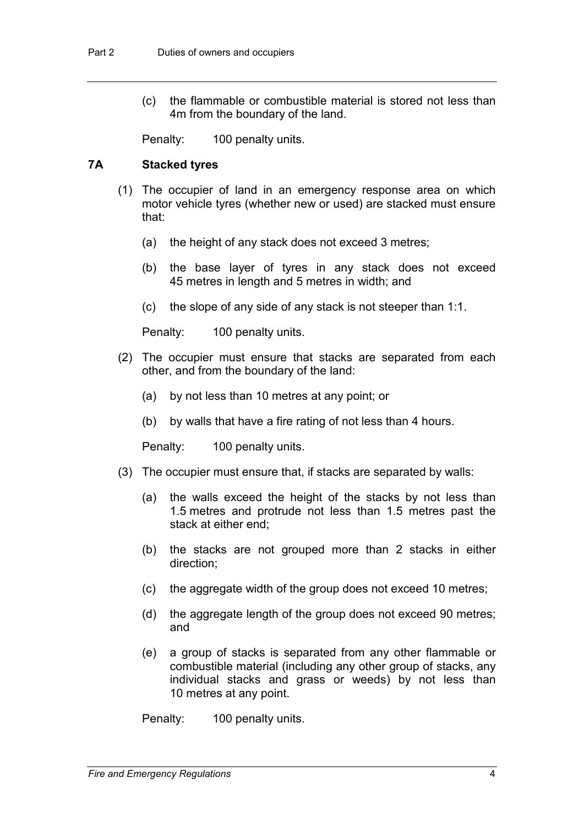(c) the flammable or combustible material is stored not less than 4m from the boundary of the land.

Penalty: 100 penalty units.

### **7A Stacked tyres**

- (1) The occupier of land in an emergency response area on which motor vehicle tyres (whether new or used) are stacked must ensure that:
	- (a) the height of any stack does not exceed 3 metres;
	- (b) the base layer of tyres in any stack does not exceed 45 metres in length and 5 metres in width; and
	- (c) the slope of any side of any stack is not steeper than 1:1.

Penalty: 100 penalty units.

- (2) The occupier must ensure that stacks are separated from each other, and from the boundary of the land:
	- (a) by not less than 10 metres at any point; or
	- (b) by walls that have a fire rating of not less than 4 hours.

Penalty: 100 penalty units.

- (3) The occupier must ensure that, if stacks are separated by walls:
	- (a) the walls exceed the height of the stacks by not less than 1.5 metres and protrude not less than 1.5 metres past the stack at either end;
	- (b) the stacks are not grouped more than 2 stacks in either direction;
	- (c) the aggregate width of the group does not exceed 10 metres;
	- (d) the aggregate length of the group does not exceed 90 metres; and
	- (e) a group of stacks is separated from any other flammable or combustible material (including any other group of stacks, any individual stacks and grass or weeds) by not less than 10 metres at any point.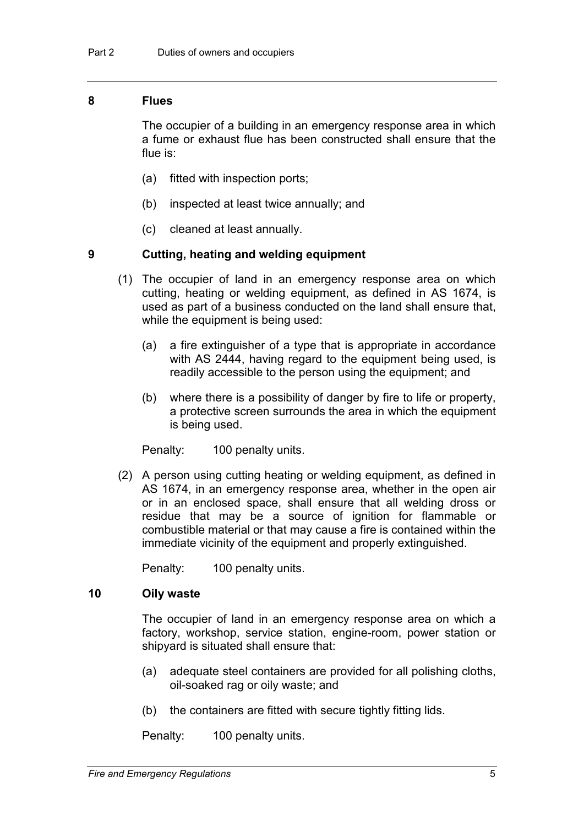#### **8 Flues**

The occupier of a building in an emergency response area in which a fume or exhaust flue has been constructed shall ensure that the flue is:

- (a) fitted with inspection ports;
- (b) inspected at least twice annually; and
- (c) cleaned at least annually.

#### **9 Cutting, heating and welding equipment**

- (1) The occupier of land in an emergency response area on which cutting, heating or welding equipment, as defined in AS 1674, is used as part of a business conducted on the land shall ensure that, while the equipment is being used:
	- (a) a fire extinguisher of a type that is appropriate in accordance with AS 2444, having regard to the equipment being used, is readily accessible to the person using the equipment; and
	- (b) where there is a possibility of danger by fire to life or property, a protective screen surrounds the area in which the equipment is being used.

Penalty: 100 penalty units.

(2) A person using cutting heating or welding equipment, as defined in AS 1674, in an emergency response area, whether in the open air or in an enclosed space, shall ensure that all welding dross or residue that may be a source of ignition for flammable or combustible material or that may cause a fire is contained within the immediate vicinity of the equipment and properly extinguished.

Penalty: 100 penalty units.

#### **10 Oily waste**

The occupier of land in an emergency response area on which a factory, workshop, service station, engine-room, power station or shipyard is situated shall ensure that:

- (a) adequate steel containers are provided for all polishing cloths, oil-soaked rag or oily waste; and
- (b) the containers are fitted with secure tightly fitting lids.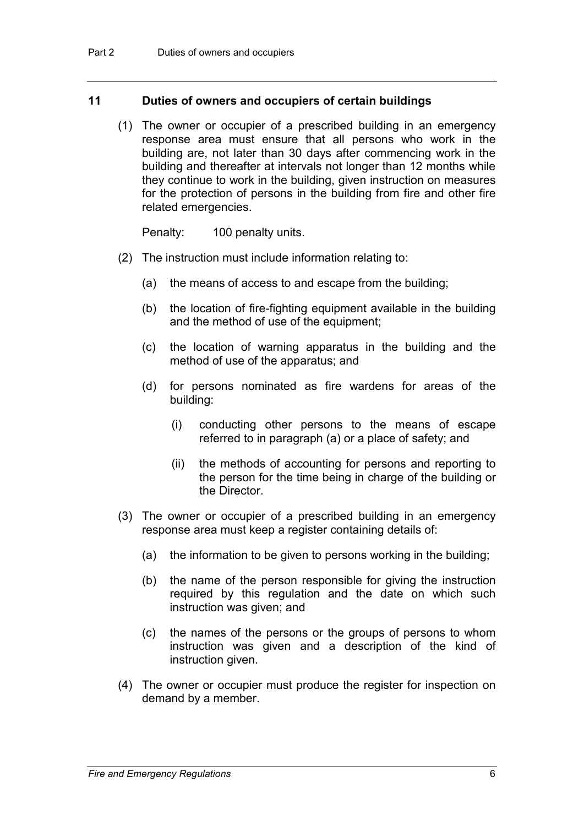#### **11 Duties of owners and occupiers of certain buildings**

(1) The owner or occupier of a prescribed building in an emergency response area must ensure that all persons who work in the building are, not later than 30 days after commencing work in the building and thereafter at intervals not longer than 12 months while they continue to work in the building, given instruction on measures for the protection of persons in the building from fire and other fire related emergencies.

- (2) The instruction must include information relating to:
	- (a) the means of access to and escape from the building;
	- (b) the location of fire-fighting equipment available in the building and the method of use of the equipment;
	- (c) the location of warning apparatus in the building and the method of use of the apparatus; and
	- (d) for persons nominated as fire wardens for areas of the building:
		- (i) conducting other persons to the means of escape referred to in paragraph (a) or a place of safety; and
		- (ii) the methods of accounting for persons and reporting to the person for the time being in charge of the building or the Director.
- (3) The owner or occupier of a prescribed building in an emergency response area must keep a register containing details of:
	- (a) the information to be given to persons working in the building;
	- (b) the name of the person responsible for giving the instruction required by this regulation and the date on which such instruction was given; and
	- (c) the names of the persons or the groups of persons to whom instruction was given and a description of the kind of instruction given.
- (4) The owner or occupier must produce the register for inspection on demand by a member.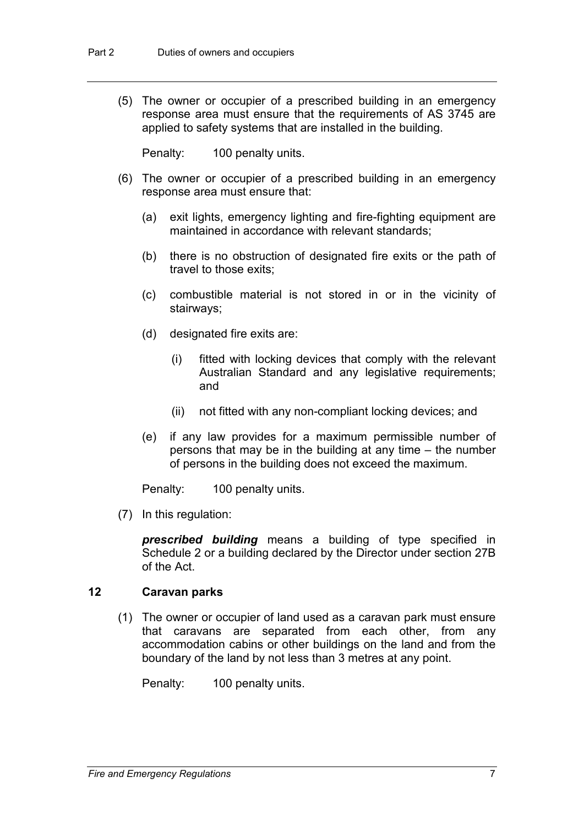(5) The owner or occupier of a prescribed building in an emergency response area must ensure that the requirements of AS 3745 are applied to safety systems that are installed in the building.

Penalty: 100 penalty units.

- (6) The owner or occupier of a prescribed building in an emergency response area must ensure that:
	- (a) exit lights, emergency lighting and fire-fighting equipment are maintained in accordance with relevant standards;
	- (b) there is no obstruction of designated fire exits or the path of travel to those exits;
	- (c) combustible material is not stored in or in the vicinity of stairways;
	- (d) designated fire exits are:
		- (i) fitted with locking devices that comply with the relevant Australian Standard and any legislative requirements; and
		- (ii) not fitted with any non-compliant locking devices; and
	- (e) if any law provides for a maximum permissible number of persons that may be in the building at any time – the number of persons in the building does not exceed the maximum.

Penalty: 100 penalty units.

(7) In this regulation:

*prescribed building* means a building of type specified in Schedule 2 or a building declared by the Director under section 27B of the Act.

#### **12 Caravan parks**

(1) The owner or occupier of land used as a caravan park must ensure that caravans are separated from each other, from any accommodation cabins or other buildings on the land and from the boundary of the land by not less than 3 metres at any point.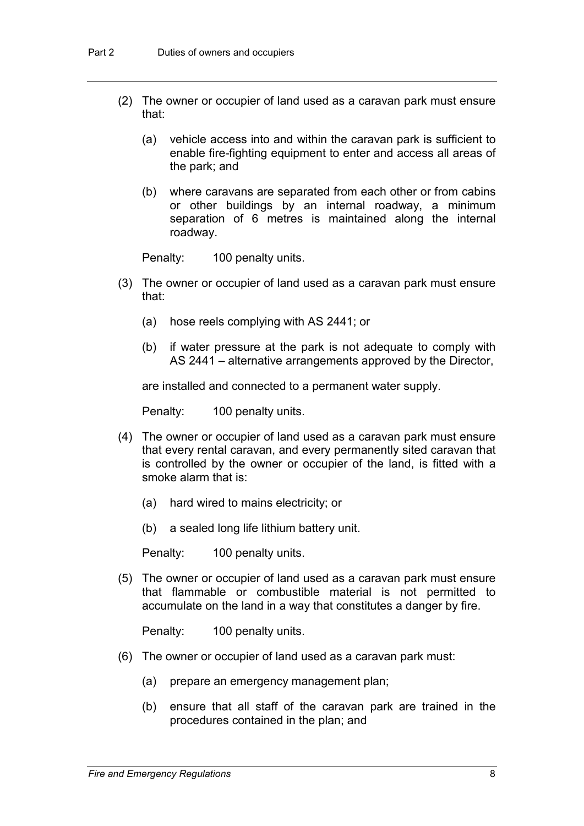- (2) The owner or occupier of land used as a caravan park must ensure that:
	- (a) vehicle access into and within the caravan park is sufficient to enable fire-fighting equipment to enter and access all areas of the park; and
	- (b) where caravans are separated from each other or from cabins or other buildings by an internal roadway, a minimum separation of 6 metres is maintained along the internal roadway.

Penalty: 100 penalty units.

- (3) The owner or occupier of land used as a caravan park must ensure that:
	- (a) hose reels complying with AS 2441; or
	- (b) if water pressure at the park is not adequate to comply with AS 2441 – alternative arrangements approved by the Director,

are installed and connected to a permanent water supply.

Penalty: 100 penalty units.

- (4) The owner or occupier of land used as a caravan park must ensure that every rental caravan, and every permanently sited caravan that is controlled by the owner or occupier of the land, is fitted with a smoke alarm that is:
	- (a) hard wired to mains electricity; or
	- (b) a sealed long life lithium battery unit.

Penalty: 100 penalty units.

(5) The owner or occupier of land used as a caravan park must ensure that flammable or combustible material is not permitted to accumulate on the land in a way that constitutes a danger by fire.

- (6) The owner or occupier of land used as a caravan park must:
	- (a) prepare an emergency management plan;
	- (b) ensure that all staff of the caravan park are trained in the procedures contained in the plan; and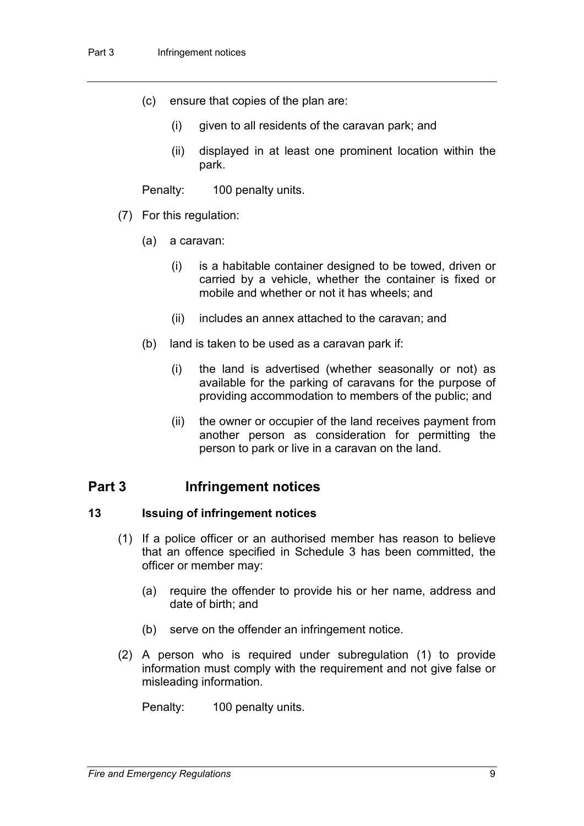- (c) ensure that copies of the plan are:
	- (i) given to all residents of the caravan park; and
	- (ii) displayed in at least one prominent location within the park.

Penalty: 100 penalty units.

- (7) For this regulation:
	- (a) a caravan:
		- (i) is a habitable container designed to be towed, driven or carried by a vehicle, whether the container is fixed or mobile and whether or not it has wheels; and
		- (ii) includes an annex attached to the caravan; and
	- (b) land is taken to be used as a caravan park if:
		- (i) the land is advertised (whether seasonally or not) as available for the parking of caravans for the purpose of providing accommodation to members of the public; and
		- (ii) the owner or occupier of the land receives payment from another person as consideration for permitting the person to park or live in a caravan on the land.

## **Part 3 Infringement notices**

#### **13 Issuing of infringement notices**

- (1) If a police officer or an authorised member has reason to believe that an offence specified in Schedule 3 has been committed, the officer or member may:
	- (a) require the offender to provide his or her name, address and date of birth; and
	- (b) serve on the offender an infringement notice.
- (2) A person who is required under subregulation (1) to provide information must comply with the requirement and not give false or misleading information.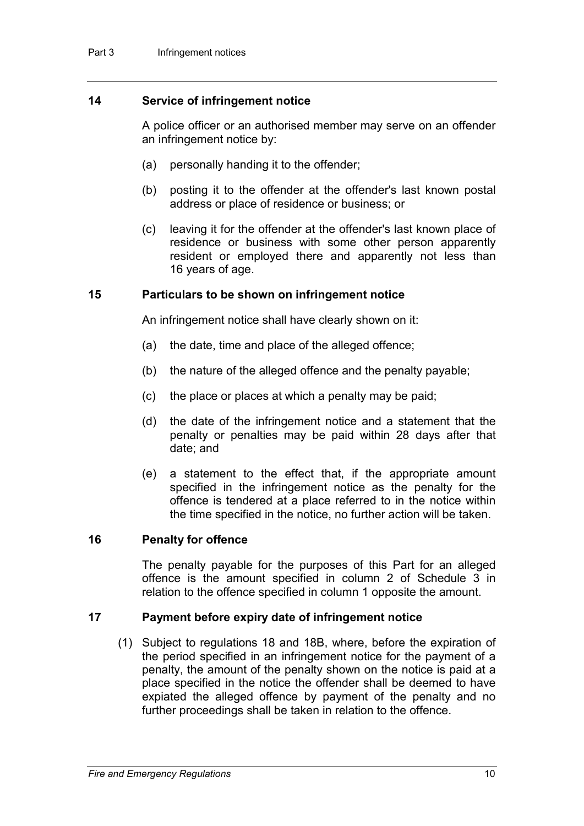#### **14 Service of infringement notice**

A police officer or an authorised member may serve on an offender an infringement notice by:

- (a) personally handing it to the offender;
- (b) posting it to the offender at the offender's last known postal address or place of residence or business; or
- (c) leaving it for the offender at the offender's last known place of residence or business with some other person apparently resident or employed there and apparently not less than 16 years of age.

#### **15 Particulars to be shown on infringement notice**

An infringement notice shall have clearly shown on it:

- (a) the date, time and place of the alleged offence;
- (b) the nature of the alleged offence and the penalty payable;
- (c) the place or places at which a penalty may be paid;
- (d) the date of the infringement notice and a statement that the penalty or penalties may be paid within 28 days after that date; and
- (e) a statement to the effect that, if the appropriate amount specified in the infringement notice as the penalty for the offence is tendered at a place referred to in the notice within the time specified in the notice, no further action will be taken.

#### **16 Penalty for offence**

The penalty payable for the purposes of this Part for an alleged offence is the amount specified in column 2 of Schedule 3 in relation to the offence specified in column 1 opposite the amount.

#### **17 Payment before expiry date of infringement notice**

(1) Subject to regulations 18 and 18B, where, before the expiration of the period specified in an infringement notice for the payment of a penalty, the amount of the penalty shown on the notice is paid at a place specified in the notice the offender shall be deemed to have expiated the alleged offence by payment of the penalty and no further proceedings shall be taken in relation to the offence.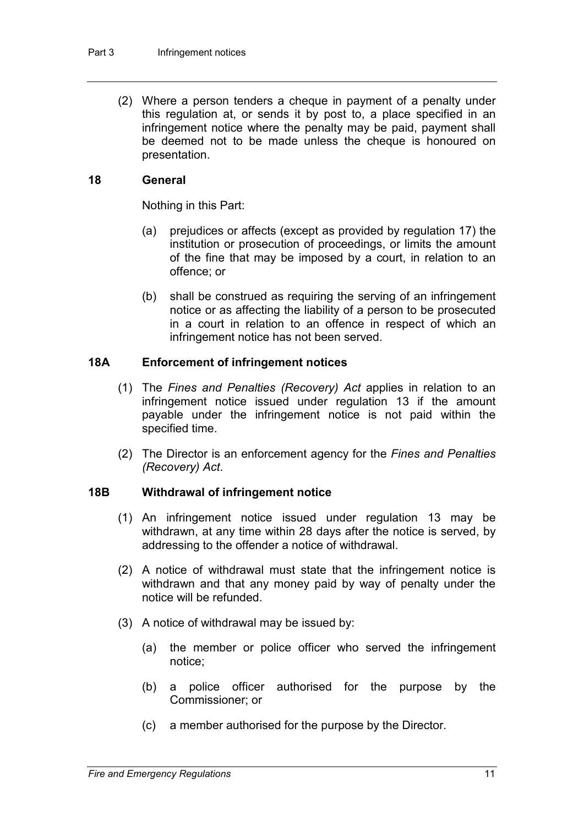(2) Where a person tenders a cheque in payment of a penalty under this regulation at, or sends it by post to, a place specified in an infringement notice where the penalty may be paid, payment shall be deemed not to be made unless the cheque is honoured on presentation.

#### **18 General**

Nothing in this Part:

- (a) prejudices or affects (except as provided by regulation 17) the institution or prosecution of proceedings, or limits the amount of the fine that may be imposed by a court, in relation to an offence; or
- (b) shall be construed as requiring the serving of an infringement notice or as affecting the liability of a person to be prosecuted in a court in relation to an offence in respect of which an infringement notice has not been served.

### **18A Enforcement of infringement notices**

- (1) The *Fines and Penalties (Recovery) Act* applies in relation to an infringement notice issued under regulation 13 if the amount payable under the infringement notice is not paid within the specified time.
- (2) The Director is an enforcement agency for the *Fines and Penalties (Recovery) Act*.

#### **18B Withdrawal of infringement notice**

- (1) An infringement notice issued under regulation 13 may be withdrawn, at any time within 28 days after the notice is served, by addressing to the offender a notice of withdrawal.
- (2) A notice of withdrawal must state that the infringement notice is withdrawn and that any money paid by way of penalty under the notice will be refunded.
- (3) A notice of withdrawal may be issued by:
	- (a) the member or police officer who served the infringement notice;
	- (b) a police officer authorised for the purpose by the Commissioner; or
	- (c) a member authorised for the purpose by the Director.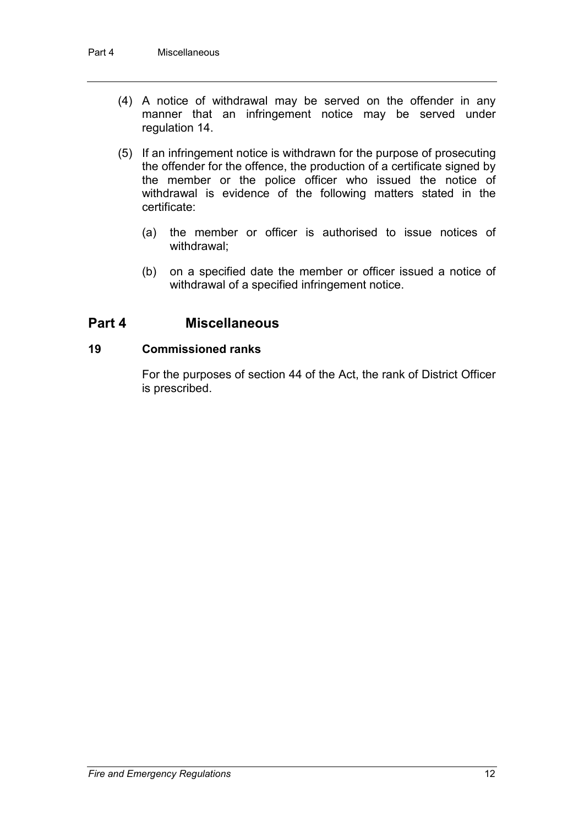- (4) A notice of withdrawal may be served on the offender in any manner that an infringement notice may be served under regulation 14.
- (5) If an infringement notice is withdrawn for the purpose of prosecuting the offender for the offence, the production of a certificate signed by the member or the police officer who issued the notice of withdrawal is evidence of the following matters stated in the certificate:
	- (a) the member or officer is authorised to issue notices of withdrawal;
	- (b) on a specified date the member or officer issued a notice of withdrawal of a specified infringement notice.

## **Part 4 Miscellaneous**

#### **19 Commissioned ranks**

For the purposes of section 44 of the Act, the rank of District Officer is prescribed.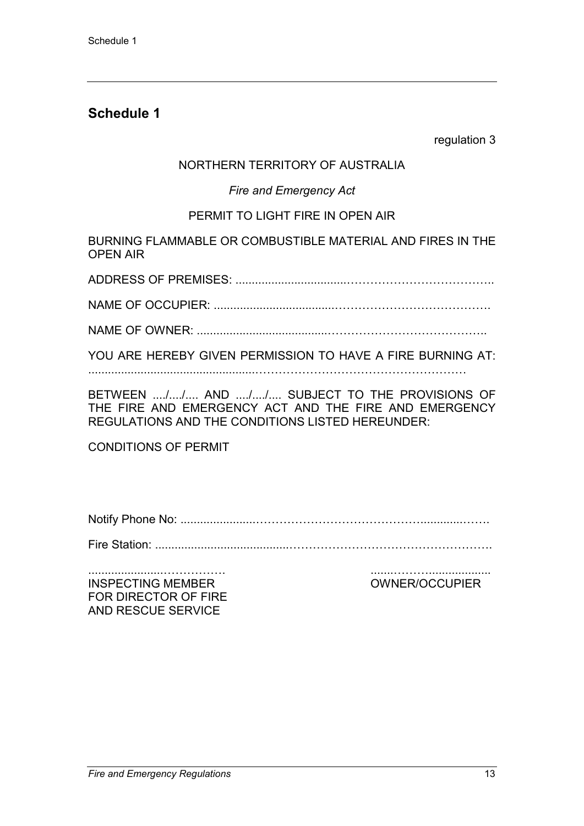regulation 3

### NORTHERN TERRITORY OF AUSTRALIA

### *Fire and Emergency Act*

### PERMIT TO LIGHT FIRE IN OPEN AIR

BURNING FLAMMABLE OR COMBUSTIBLE MATERIAL AND FIRES IN THE OPEN AIR

ADDRESS OF PREMISES: ..................................………………………………..

NAME OF OCCUPIER: .....................................………………………………….

NAME OF OWNER: ........................................…………………………………..

YOU ARE HEREBY GIVEN PERMISSION TO HAVE A FIRE BURNING AT:

...................................................………………………………………………

BETWEEN ..../..../.... AND ..../..../.... SUBJECT TO THE PROVISIONS OF THE FIRE AND EMERGENCY ACT AND THE FIRE AND EMERGENCY REGULATIONS AND THE CONDITIONS LISTED HEREUNDER:

CONDITIONS OF PERMIT

Notify Phone No: .......................…………………………………….............…….

Fire Station: .........................................…………………………………………….

.......................……………. .......………................... INSPECTING MEMBER OWNER/OCCUPIER FOR DIRECTOR OF FIRE AND RESCUE SERVICE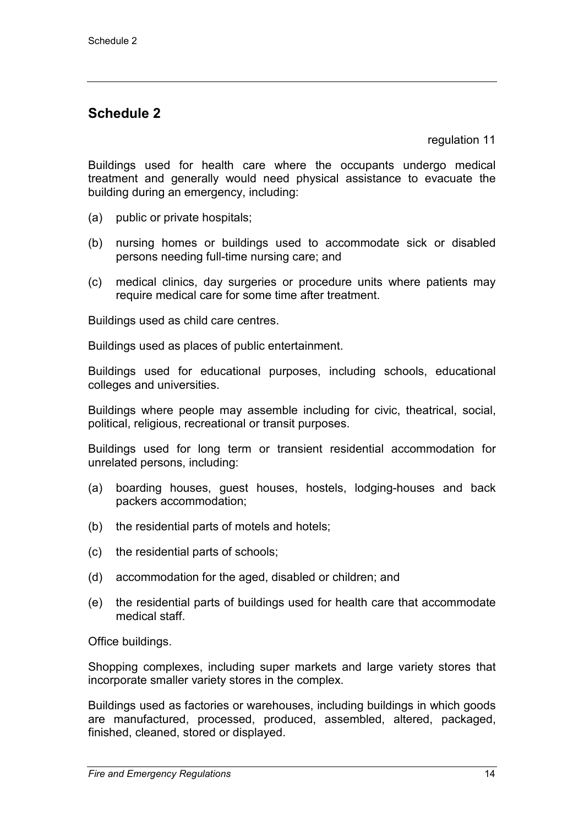regulation 11

Buildings used for health care where the occupants undergo medical treatment and generally would need physical assistance to evacuate the building during an emergency, including:

- (a) public or private hospitals;
- (b) nursing homes or buildings used to accommodate sick or disabled persons needing full-time nursing care; and
- (c) medical clinics, day surgeries or procedure units where patients may require medical care for some time after treatment.

Buildings used as child care centres.

Buildings used as places of public entertainment.

Buildings used for educational purposes, including schools, educational colleges and universities.

Buildings where people may assemble including for civic, theatrical, social, political, religious, recreational or transit purposes.

Buildings used for long term or transient residential accommodation for unrelated persons, including:

- (a) boarding houses, guest houses, hostels, lodging-houses and back packers accommodation;
- (b) the residential parts of motels and hotels;
- (c) the residential parts of schools;
- (d) accommodation for the aged, disabled or children; and
- (e) the residential parts of buildings used for health care that accommodate medical staff.

Office buildings.

Shopping complexes, including super markets and large variety stores that incorporate smaller variety stores in the complex.

Buildings used as factories or warehouses, including buildings in which goods are manufactured, processed, produced, assembled, altered, packaged, finished, cleaned, stored or displayed.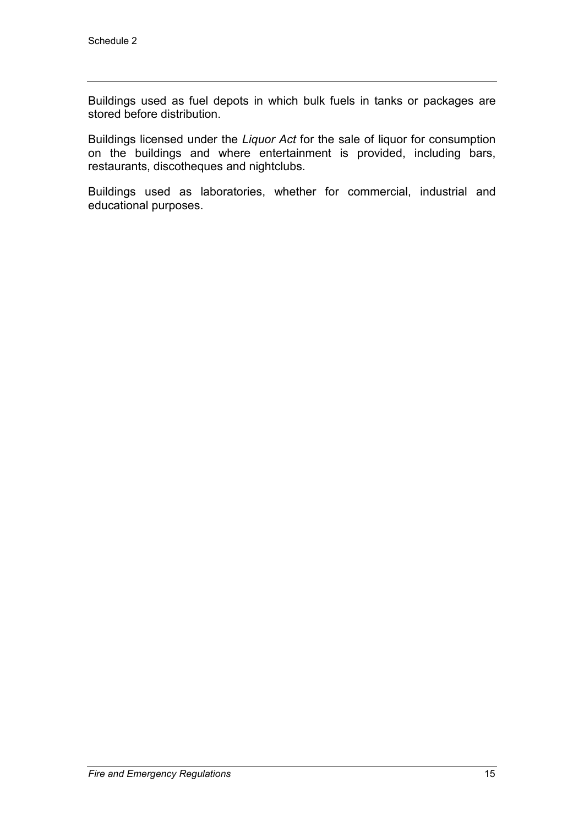Buildings used as fuel depots in which bulk fuels in tanks or packages are stored before distribution.

Buildings licensed under the *Liquor Act* for the sale of liquor for consumption on the buildings and where entertainment is provided, including bars, restaurants, discotheques and nightclubs.

Buildings used as laboratories, whether for commercial, industrial and educational purposes.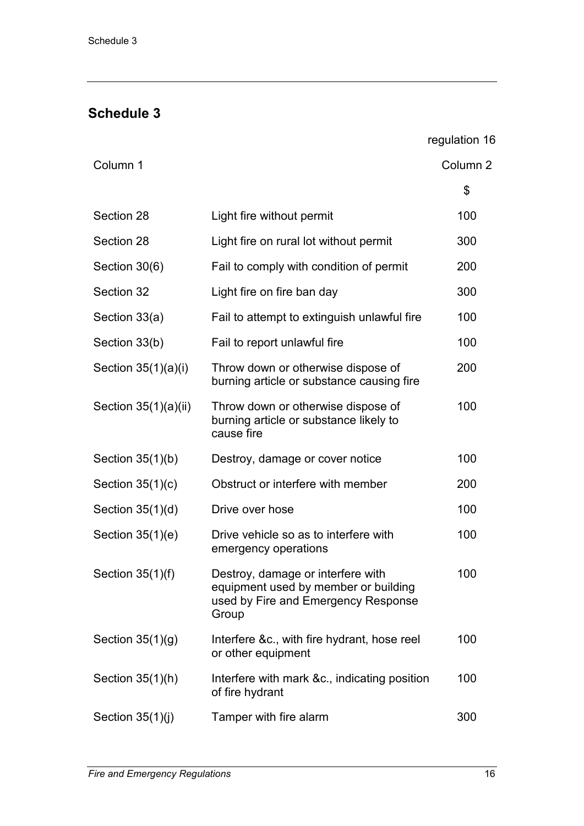regulation 16

| Column 1             |                                                                                                                           | Column <sub>2</sub> |
|----------------------|---------------------------------------------------------------------------------------------------------------------------|---------------------|
|                      |                                                                                                                           | \$                  |
| Section 28           | Light fire without permit                                                                                                 | 100                 |
| Section 28           | Light fire on rural lot without permit                                                                                    | 300                 |
| Section 30(6)        | Fail to comply with condition of permit                                                                                   | 200                 |
| Section 32           | Light fire on fire ban day                                                                                                | 300                 |
| Section 33(a)        | Fail to attempt to extinguish unlawful fire                                                                               | 100                 |
| Section 33(b)        | Fail to report unlawful fire                                                                                              | 100                 |
| Section 35(1)(a)(i)  | Throw down or otherwise dispose of<br>burning article or substance causing fire                                           | 200                 |
| Section 35(1)(a)(ii) | Throw down or otherwise dispose of<br>burning article or substance likely to<br>cause fire                                | 100                 |
| Section $35(1)(b)$   | Destroy, damage or cover notice                                                                                           | 100                 |
| Section $35(1)(c)$   | Obstruct or interfere with member                                                                                         | 200                 |
| Section $35(1)(d)$   | Drive over hose                                                                                                           | 100                 |
| Section $35(1)(e)$   | Drive vehicle so as to interfere with<br>emergency operations                                                             | 100                 |
| Section $35(1)(f)$   | Destroy, damage or interfere with<br>equipment used by member or building<br>used by Fire and Emergency Response<br>Group | 100                 |
| Section $35(1)(g)$   | Interfere &c., with fire hydrant, hose reel<br>or other equipment                                                         | 100                 |
| Section 35(1)(h)     | Interfere with mark &c., indicating position<br>of fire hydrant                                                           | 100                 |
| Section $35(1)(j)$   | Tamper with fire alarm                                                                                                    | 300                 |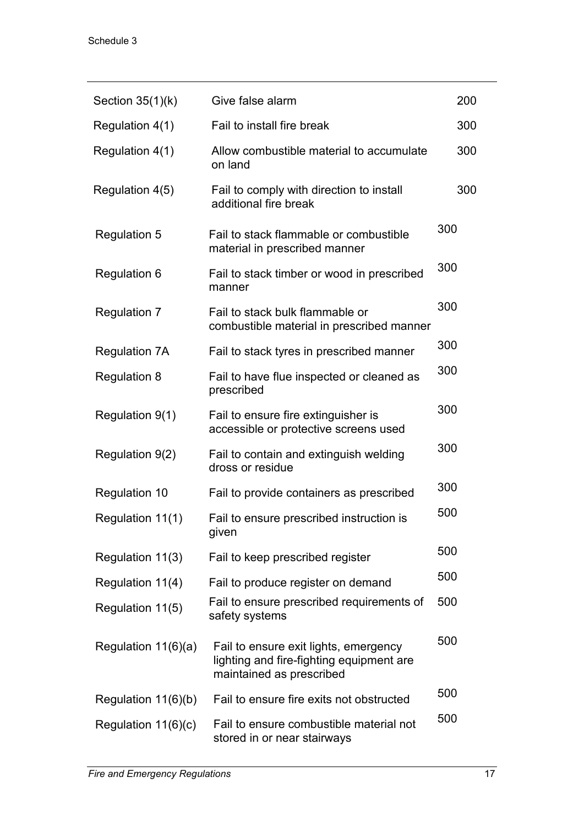| Section $35(1)(k)$    | Give false alarm                                                                                              | 200 |
|-----------------------|---------------------------------------------------------------------------------------------------------------|-----|
| Regulation 4(1)       | Fail to install fire break                                                                                    | 300 |
| Regulation 4(1)       | Allow combustible material to accumulate<br>on land                                                           | 300 |
| Regulation 4(5)       | Fail to comply with direction to install<br>additional fire break                                             | 300 |
| <b>Regulation 5</b>   | Fail to stack flammable or combustible<br>material in prescribed manner                                       | 300 |
| <b>Regulation 6</b>   | Fail to stack timber or wood in prescribed<br>manner                                                          | 300 |
| <b>Regulation 7</b>   | Fail to stack bulk flammable or<br>combustible material in prescribed manner                                  | 300 |
| <b>Regulation 7A</b>  | Fail to stack tyres in prescribed manner                                                                      | 300 |
| <b>Regulation 8</b>   | Fail to have flue inspected or cleaned as<br>prescribed                                                       | 300 |
| Regulation 9(1)       | Fail to ensure fire extinguisher is<br>accessible or protective screens used                                  | 300 |
| Regulation 9(2)       | Fail to contain and extinguish welding<br>dross or residue                                                    | 300 |
| <b>Regulation 10</b>  | Fail to provide containers as prescribed                                                                      | 300 |
| Regulation 11(1)      | Fail to ensure prescribed instruction is<br>given                                                             | 500 |
| Regulation 11(3)      | Fail to keep prescribed register                                                                              | 500 |
| Regulation 11(4)      | Fail to produce register on demand                                                                            | 500 |
| Regulation 11(5)      | Fail to ensure prescribed requirements of<br>safety systems                                                   | 500 |
| Regulation 11(6)(a)   | Fail to ensure exit lights, emergency<br>lighting and fire-fighting equipment are<br>maintained as prescribed | 500 |
| Regulation $11(6)(b)$ | Fail to ensure fire exits not obstructed                                                                      | 500 |
| Regulation $11(6)(c)$ | Fail to ensure combustible material not<br>stored in or near stairways                                        | 500 |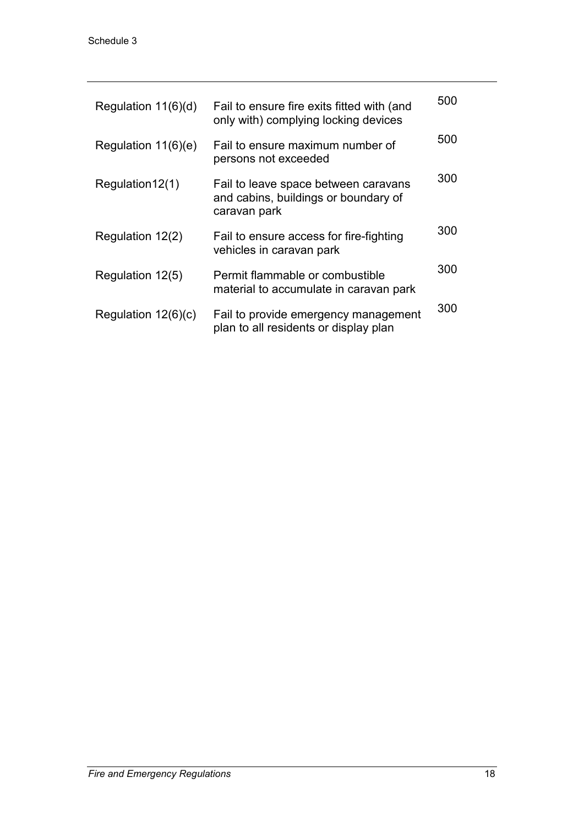| Regulation $11(6)(d)$ | Fail to ensure fire exits fitted with (and<br>only with) complying locking devices           | 500 |
|-----------------------|----------------------------------------------------------------------------------------------|-----|
| Regulation $11(6)(e)$ | Fail to ensure maximum number of<br>persons not exceeded                                     | 500 |
| Regulation12(1)       | Fail to leave space between caravans<br>and cabins, buildings or boundary of<br>caravan park | 300 |
| Regulation 12(2)      | Fail to ensure access for fire-fighting<br>vehicles in caravan park                          | 300 |
| Regulation 12(5)      | Permit flammable or combustible<br>material to accumulate in caravan park                    | 300 |
| Regulation $12(6)(c)$ | Fail to provide emergency management<br>plan to all residents or display plan                | 300 |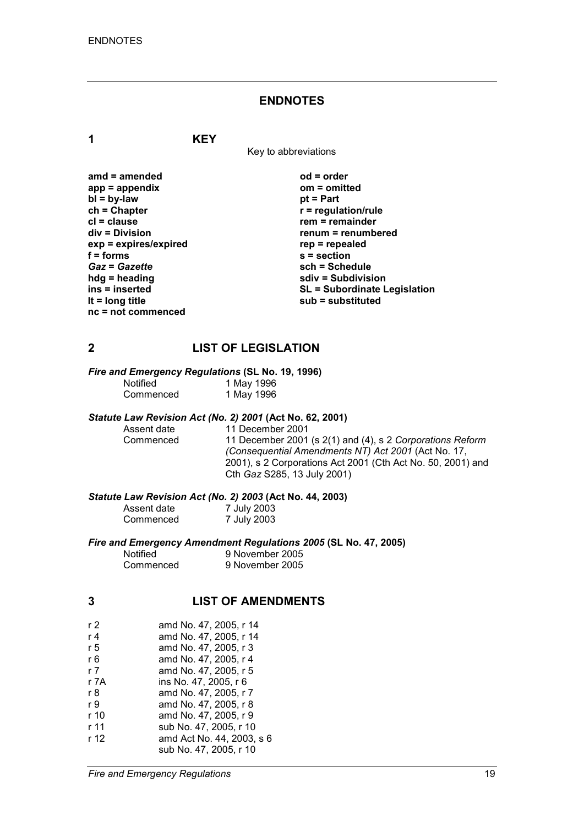#### **ENDNOTES**

**1 KEY**

Key to abbreviations

**amd = amended od = order app = appendix om = omitted** *<u>pt</u>* **= Part**  $r$  = regulation/rule **cl = clause rem = remainder div = Division renum = renumbered exp = expires/expired rep = repealed f = forms s = section** *Gaz* **=** *Gazette* **sch = Schedule hdg = heading sdiv = Subdivision SL = Subordinate Legislation lt = long title sub = substituted**

#### **2 LIST OF LEGISLATION**

*Fire and Emergency Regulations* **(SL No. 19, 1996)**

| <b>Notified</b> | 1 May 1996 |
|-----------------|------------|
| Commenced       | 1 May 1996 |

# *Statute Law Revision Act (No. 2) 2001* **(Act No. 62, 2001)**

Assent date 11 December 2001<br>Commenced 11 December 2001 11 December 2001 (s 2(1) and (4), s 2 *Corporations Reform (Consequential Amendments NT) Act 2001* (Act No. 17, 2001), s 2 Corporations Act 2001 (Cth Act No. 50, 2001) and Cth *Gaz* S285, 13 July 2001)

*Statute Law Revision Act (No. 2) 2003* **(Act No. 44, 2003)**

| Assent date | 7 July 2003 |
|-------------|-------------|
| Commenced   | 7 July 2003 |

*Fire and Emergency Amendment Regulations 2005* **(SL No. 47, 2005)**

Notified 9 November 2005<br>
Commenced 9 November 2005 9 November 2005

### **3 LIST OF AMENDMENTS**

| r 2  | amd No. 47, 2005, r 14    |
|------|---------------------------|
| r 4  | amd No. 47, 2005, r 14    |
| r 5  | amd No. 47, 2005, r 3     |
| r 6  | amd No. 47, 2005, r 4     |
| r 7  | amd No. 47, 2005, r 5     |
| r 7A | ins No. 47, 2005, r 6     |
| r 8  | amd No. 47, 2005, r 7     |
| r 9  | amd No. 47, 2005, r 8     |
| r 10 | amd No. 47, 2005, r 9     |
| r 11 | sub No. 47, 2005, r 10    |
| r 12 | amd Act No. 44, 2003, s 6 |
|      | sub No. 47, 2005, r 10    |